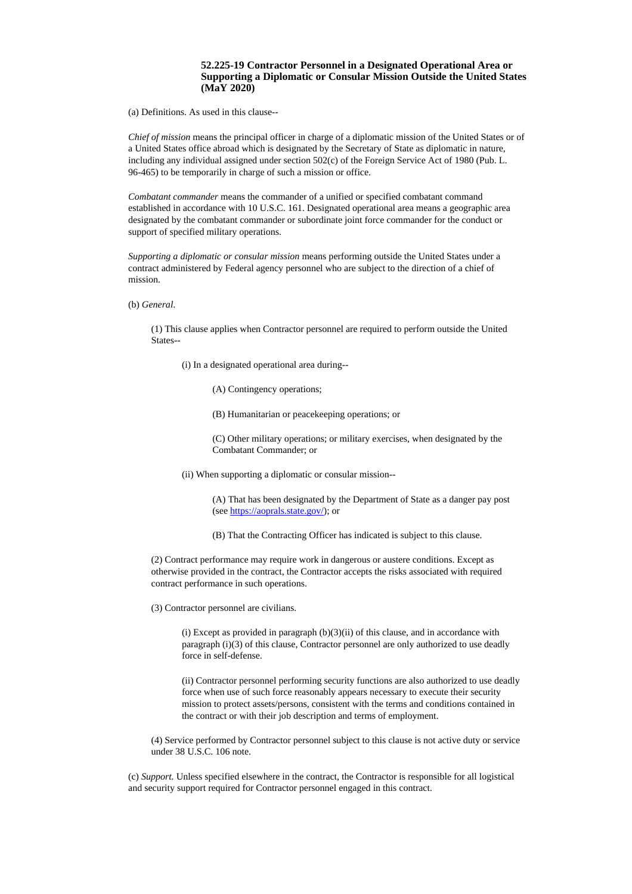# **52.225-19 Contractor Personnel in a Designated Operational Area or Supporting a Diplomatic or Consular Mission Outside the United States (MaY 2020)**

(a) Definitions. As used in this clause--

*Chief of mission* means the principal officer in charge of a diplomatic mission of the United States or of a United States office abroad which is designated by the Secretary of State as diplomatic in nature, including any individual assigned under section 502(c) of the Foreign Service Act of 1980 (Pub. L. 96-465) to be temporarily in charge of such a mission or office.

*Combatant commander* means the commander of a unified or specified combatant command established in accordance with 10 U.S.C. 161. Designated operational area means a geographic area designated by the combatant commander or subordinate joint force commander for the conduct or support of specified military operations.

*Supporting a diplomatic or consular mission* means performing outside the United States under a contract administered by Federal agency personnel who are subject to the direction of a chief of mission.

(b) *General*.

(1) This clause applies when Contractor personnel are required to perform outside the United States--

(i) In a designated operational area during--

- (A) Contingency operations;
- (B) Humanitarian or peacekeeping operations; or

(C) Other military operations; or military exercises, when designated by the Combatant Commander; or

(ii) When supporting a diplomatic or consular mission--

(A) That has been designated by the Department of State as a danger pay post (see [https://aoprals.state.gov/\)](https://aoprals.state.gov/); or

(B) That the Contracting Officer has indicated is subject to this clause.

(2) Contract performance may require work in dangerous or austere conditions. Except as otherwise provided in the contract, the Contractor accepts the risks associated with required contract performance in such operations.

(3) Contractor personnel are civilians.

(i) Except as provided in paragraph  $(b)(3)(ii)$  of this clause, and in accordance with paragraph (i)(3) of this clause, Contractor personnel are only authorized to use deadly force in self-defense.

(ii) Contractor personnel performing security functions are also authorized to use deadly force when use of such force reasonably appears necessary to execute their security mission to protect assets/persons, consistent with the terms and conditions contained in the contract or with their job description and terms of employment.

(4) Service performed by Contractor personnel subject to this clause is not active duty or service under 38 U.S.C. 106 note.

(c) *Support.* Unless specified elsewhere in the contract, the Contractor is responsible for all logistical and security support required for Contractor personnel engaged in this contract.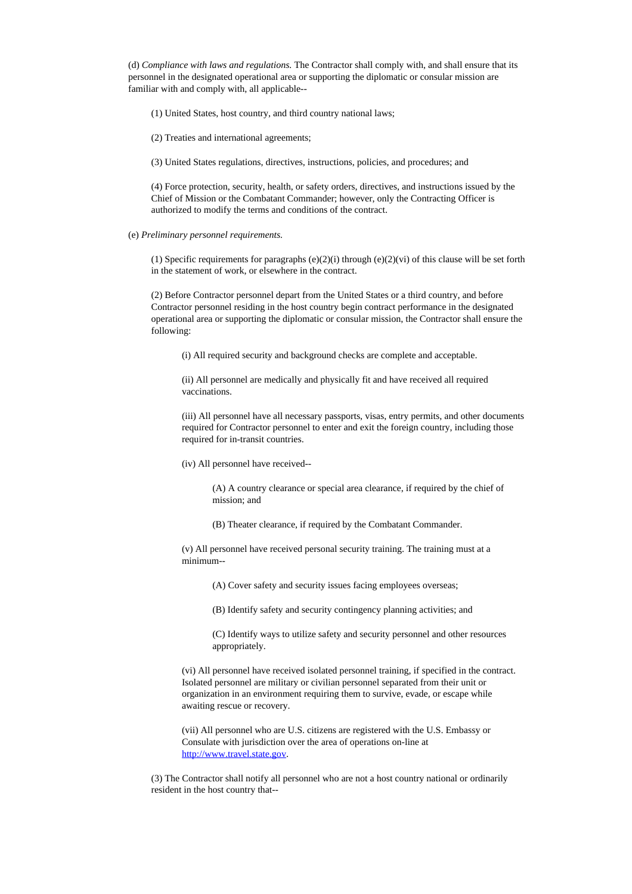(d) *Compliance with laws and regulations.* The Contractor shall comply with, and shall ensure that its personnel in the designated operational area or supporting the diplomatic or consular mission are familiar with and comply with, all applicable--

(1) United States, host country, and third country national laws;

(2) Treaties and international agreements;

(3) United States regulations, directives, instructions, policies, and procedures; and

(4) Force protection, security, health, or safety orders, directives, and instructions issued by the Chief of Mission or the Combatant Commander; however, only the Contracting Officer is authorized to modify the terms and conditions of the contract.

### (e) *Preliminary personnel requirements.*

(1) Specific requirements for paragraphs  $(e)(2)(i)$  through  $(e)(2)(vi)$  of this clause will be set forth in the statement of work, or elsewhere in the contract.

(2) Before Contractor personnel depart from the United States or a third country, and before Contractor personnel residing in the host country begin contract performance in the designated operational area or supporting the diplomatic or consular mission, the Contractor shall ensure the following:

(i) All required security and background checks are complete and acceptable.

(ii) All personnel are medically and physically fit and have received all required vaccinations.

(iii) All personnel have all necessary passports, visas, entry permits, and other documents required for Contractor personnel to enter and exit the foreign country, including those required for in-transit countries.

(iv) All personnel have received--

(A) A country clearance or special area clearance, if required by the chief of mission; and

(B) Theater clearance, if required by the Combatant Commander.

(v) All personnel have received personal security training. The training must at a minimum--

(A) Cover safety and security issues facing employees overseas;

(B) Identify safety and security contingency planning activities; and

(C) Identify ways to utilize safety and security personnel and other resources appropriately.

(vi) All personnel have received isolated personnel training, if specified in the contract. Isolated personnel are military or civilian personnel separated from their unit or organization in an environment requiring them to survive, evade, or escape while awaiting rescue or recovery.

(vii) All personnel who are U.S. citizens are registered with the U.S. Embassy or Consulate with jurisdiction over the area of operations on-line at [http://www.travel.state.gov](http://frwebgate.access.gpo.gov/cgi-bin/leaving.cgi?from=leavingFR.html&log=linklog&to=http://www.travel.state.gov).

(3) The Contractor shall notify all personnel who are not a host country national or ordinarily resident in the host country that--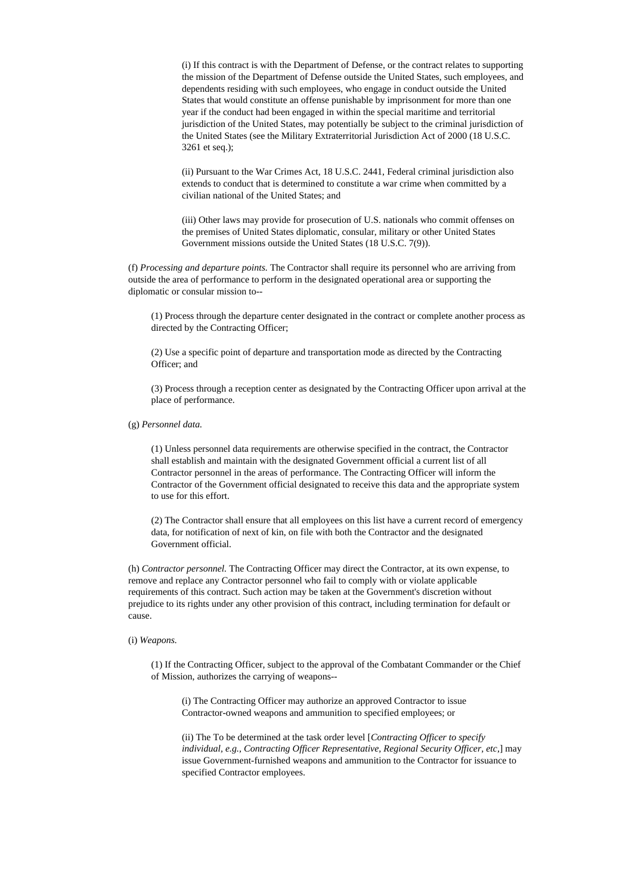(i) If this contract is with the Department of Defense, or the contract relates to supporting the mission of the Department of Defense outside the United States, such employees, and dependents residing with such employees, who engage in conduct outside the United States that would constitute an offense punishable by imprisonment for more than one year if the conduct had been engaged in within the special maritime and territorial jurisdiction of the United States, may potentially be subject to the criminal jurisdiction of the United States (see the Military Extraterritorial Jurisdiction Act of 2000 (18 U.S.C. 3261 et seq.);

(ii) Pursuant to the War Crimes Act, 18 U.S.C. 2441, Federal criminal jurisdiction also extends to conduct that is determined to constitute a war crime when committed by a civilian national of the United States; and

(iii) Other laws may provide for prosecution of U.S. nationals who commit offenses on the premises of United States diplomatic, consular, military or other United States Government missions outside the United States (18 U.S.C. 7(9)).

(f) *Processing and departure points.* The Contractor shall require its personnel who are arriving from outside the area of performance to perform in the designated operational area or supporting the diplomatic or consular mission to--

(1) Process through the departure center designated in the contract or complete another process as directed by the Contracting Officer;

(2) Use a specific point of departure and transportation mode as directed by the Contracting Officer; and

(3) Process through a reception center as designated by the Contracting Officer upon arrival at the place of performance.

(g) *Personnel data.*

(1) Unless personnel data requirements are otherwise specified in the contract, the Contractor shall establish and maintain with the designated Government official a current list of all Contractor personnel in the areas of performance. The Contracting Officer will inform the Contractor of the Government official designated to receive this data and the appropriate system to use for this effort.

(2) The Contractor shall ensure that all employees on this list have a current record of emergency data, for notification of next of kin, on file with both the Contractor and the designated Government official.

(h) *Contractor personnel.* The Contracting Officer may direct the Contractor, at its own expense, to remove and replace any Contractor personnel who fail to comply with or violate applicable requirements of this contract. Such action may be taken at the Government's discretion without prejudice to its rights under any other provision of this contract, including termination for default or cause.

(i) *Weapons.*

(1) If the Contracting Officer, subject to the approval of the Combatant Commander or the Chief of Mission, authorizes the carrying of weapons--

(i) The Contracting Officer may authorize an approved Contractor to issue Contractor-owned weapons and ammunition to specified employees; or

(ii) The To be determined at the task order level [*Contracting Officer to specify individual, e.g., Contracting Officer Representative, Regional Security Officer, etc,*] may issue Government-furnished weapons and ammunition to the Contractor for issuance to specified Contractor employees.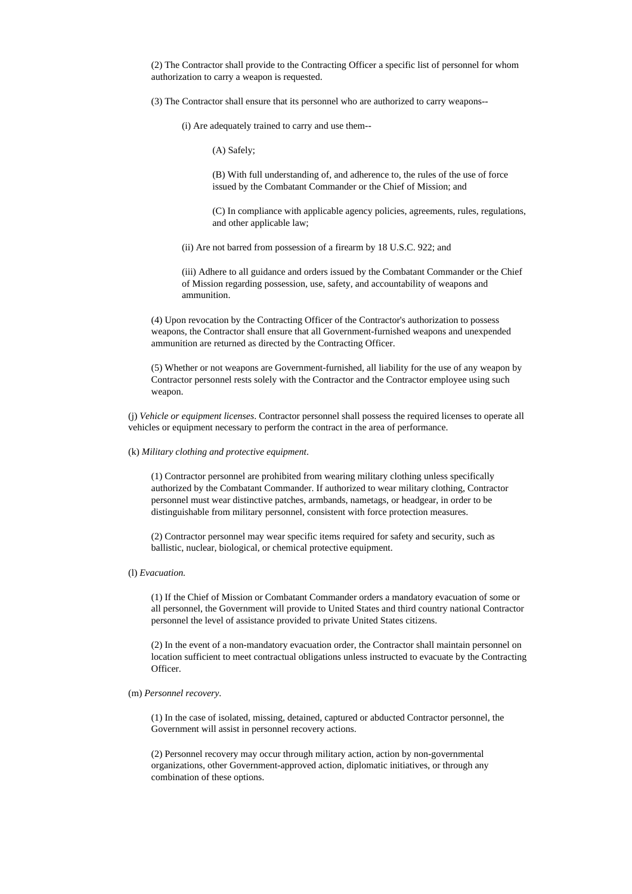(2) The Contractor shall provide to the Contracting Officer a specific list of personnel for whom authorization to carry a weapon is requested.

(3) The Contractor shall ensure that its personnel who are authorized to carry weapons--

(i) Are adequately trained to carry and use them--

(A) Safely;

(B) With full understanding of, and adherence to, the rules of the use of force issued by the Combatant Commander or the Chief of Mission; and

(C) In compliance with applicable agency policies, agreements, rules, regulations, and other applicable law;

(ii) Are not barred from possession of a firearm by 18 U.S.C. 922; and

(iii) Adhere to all guidance and orders issued by the Combatant Commander or the Chief of Mission regarding possession, use, safety, and accountability of weapons and ammunition.

(4) Upon revocation by the Contracting Officer of the Contractor's authorization to possess weapons, the Contractor shall ensure that all Government-furnished weapons and unexpended ammunition are returned as directed by the Contracting Officer.

(5) Whether or not weapons are Government-furnished, all liability for the use of any weapon by Contractor personnel rests solely with the Contractor and the Contractor employee using such weapon.

(j) *Vehicle or equipment licenses*. Contractor personnel shall possess the required licenses to operate all vehicles or equipment necessary to perform the contract in the area of performance.

### (k) *Military clothing and protective equipment*.

(1) Contractor personnel are prohibited from wearing military clothing unless specifically authorized by the Combatant Commander. If authorized to wear military clothing, Contractor personnel must wear distinctive patches, armbands, nametags, or headgear, in order to be distinguishable from military personnel, consistent with force protection measures.

(2) Contractor personnel may wear specific items required for safety and security, such as ballistic, nuclear, biological, or chemical protective equipment.

(l) *Evacuation.*

(1) If the Chief of Mission or Combatant Commander orders a mandatory evacuation of some or all personnel, the Government will provide to United States and third country national Contractor personnel the level of assistance provided to private United States citizens.

(2) In the event of a non-mandatory evacuation order, the Contractor shall maintain personnel on location sufficient to meet contractual obligations unless instructed to evacuate by the Contracting Officer.

### (m) *Personnel recovery*.

(1) In the case of isolated, missing, detained, captured or abducted Contractor personnel, the Government will assist in personnel recovery actions.

(2) Personnel recovery may occur through military action, action by non-governmental organizations, other Government-approved action, diplomatic initiatives, or through any combination of these options.